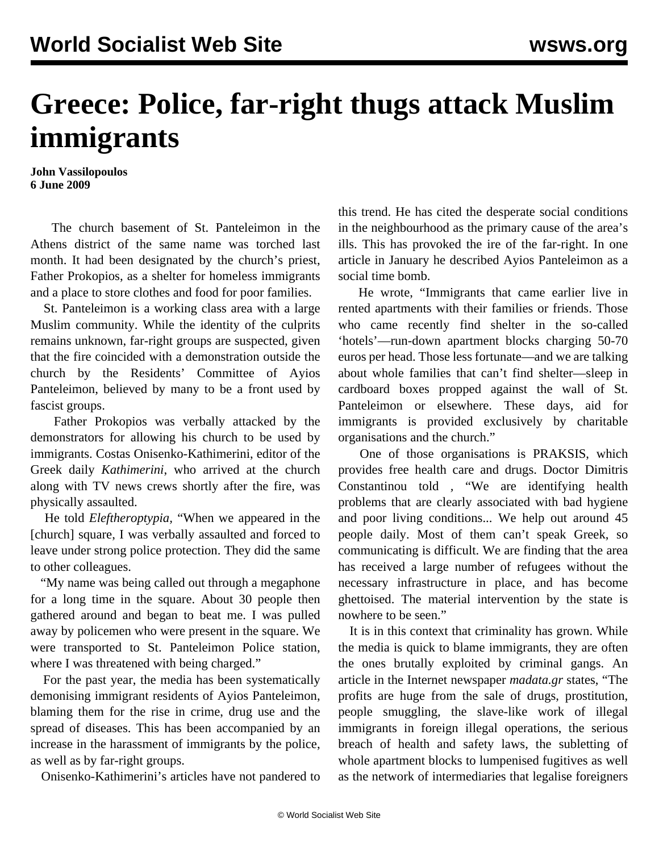## **Greece: Police, far-right thugs attack Muslim immigrants**

**John Vassilopoulos 6 June 2009**

 The church basement of St. Panteleimon in the Athens district of the same name was torched last month. It had been designated by the church's priest, Father Prokopios, as a shelter for homeless immigrants and a place to store clothes and food for poor families.

 St. Panteleimon is a working class area with a large Muslim community. While the identity of the culprits remains unknown, far-right groups are suspected, given that the fire coincided with a demonstration outside the church by the Residents' Committee of Ayios Panteleimon, believed by many to be a front used by fascist groups.

 Father Prokopios was verbally attacked by the demonstrators for allowing his church to be used by immigrants. Costas Onisenko-Kathimerini, editor of the Greek daily *Kathimerini*, who arrived at the church along with TV news crews shortly after the fire, was physically assaulted.

 He told *Eleftheroptypia,* "When we appeared in the [church] square, I was verbally assaulted and forced to leave under strong police protection. They did the same to other colleagues.

 "My name was being called out through a megaphone for a long time in the square. About 30 people then gathered around and began to beat me. I was pulled away by policemen who were present in the square. We were transported to St. Panteleimon Police station, where I was threatened with being charged."

 For the past year, the media has been systematically demonising immigrant residents of Ayios Panteleimon, blaming them for the rise in crime, drug use and the spread of diseases. This has been accompanied by an increase in the harassment of immigrants by the police, as well as by far-right groups.

Onisenko-Kathimerini's articles have not pandered to

this trend. He has cited the desperate social conditions in the neighbourhood as the primary cause of the area's ills. This has provoked the ire of the far-right. In one article in January he described Ayios Panteleimon as a social time bomb.

 He wrote, "Immigrants that came earlier live in rented apartments with their families or friends. Those who came recently find shelter in the so-called 'hotels'—run-down apartment blocks charging 50-70 euros per head. Those less fortunate—and we are talking about whole families that can't find shelter—sleep in cardboard boxes propped against the wall of St. Panteleimon or elsewhere. These days, aid for immigrants is provided exclusively by charitable organisations and the church."

 One of those organisations is PRAKSIS, which provides free health care and drugs. Doctor Dimitris Constantinou told *,* "We are identifying health problems that are clearly associated with bad hygiene and poor living conditions... We help out around 45 people daily. Most of them can't speak Greek, so communicating is difficult. We are finding that the area has received a large number of refugees without the necessary infrastructure in place, and has become ghettoised. The material intervention by the state is nowhere to be seen."

 It is in this context that criminality has grown. While the media is quick to blame immigrants, they are often the ones brutally exploited by criminal gangs. An article in the Internet newspaper *madata.gr* states, "The profits are huge from the sale of drugs, prostitution, people smuggling, the slave-like work of illegal immigrants in foreign illegal operations, the serious breach of health and safety laws, the subletting of whole apartment blocks to lumpenised fugitives as well as the network of intermediaries that legalise foreigners